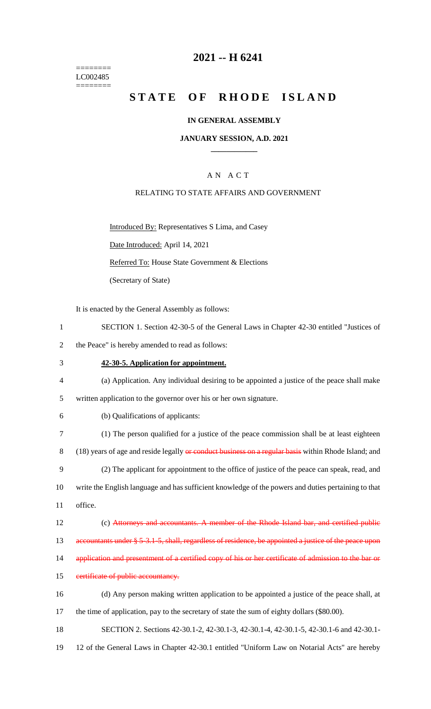======== LC002485 ========

# **2021 -- H 6241**

# **STATE OF RHODE ISLAND**

#### **IN GENERAL ASSEMBLY**

#### **JANUARY SESSION, A.D. 2021 \_\_\_\_\_\_\_\_\_\_\_\_**

### A N A C T

#### RELATING TO STATE AFFAIRS AND GOVERNMENT

Introduced By: Representatives S Lima, and Casey

Date Introduced: April 14, 2021

Referred To: House State Government & Elections

(Secretary of State)

It is enacted by the General Assembly as follows:

- 1 SECTION 1. Section 42-30-5 of the General Laws in Chapter 42-30 entitled "Justices of
- 2 the Peace" is hereby amended to read as follows:
- 3 **42-30-5. Application for appointment.**
- 4 (a) Application. Any individual desiring to be appointed a justice of the peace shall make
- 5 written application to the governor over his or her own signature.
- 6 (b) Qualifications of applicants:
- 7 (1) The person qualified for a justice of the peace commission shall be at least eighteen 8 (18) years of age and reside legally or conduct business on a regular basis within Rhode Island; and 9 (2) The applicant for appointment to the office of justice of the peace can speak, read, and 10 write the English language and has sufficient knowledge of the powers and duties pertaining to that 11 office.
- 12 (c) Attorneys and accountants. A member of the Rhode Island bar, and certified public
- 13 accountants under § 5-3.1-5, shall, regardless of residence, be appointed a justice of the peace upon
- 14 application and presentment of a certified copy of his or her certificate of admission to the bar or
- 15 eertificate of public accountancy.
- 16 (d) Any person making written application to be appointed a justice of the peace shall, at 17 the time of application, pay to the secretary of state the sum of eighty dollars (\$80.00).
- 18 SECTION 2. Sections 42-30.1-2, 42-30.1-3, 42-30.1-4, 42-30.1-5, 42-30.1-6 and 42-30.1-
- 19 12 of the General Laws in Chapter 42-30.1 entitled "Uniform Law on Notarial Acts" are hereby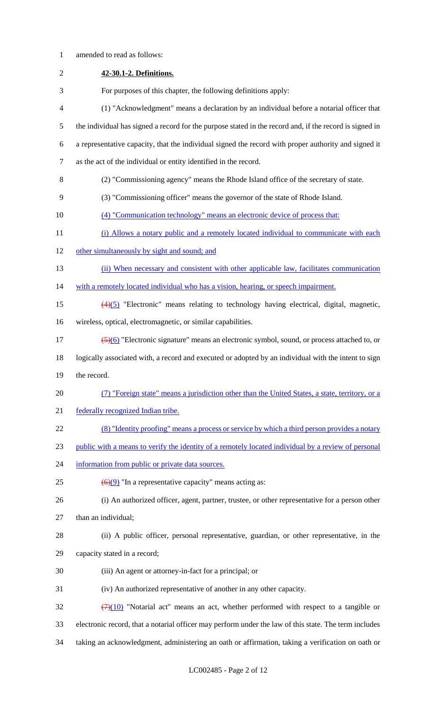**42-30.1-2. Definitions.** For purposes of this chapter, the following definitions apply: (1) "Acknowledgment" means a declaration by an individual before a notarial officer that the individual has signed a record for the purpose stated in the record and, if the record is signed in a representative capacity, that the individual signed the record with proper authority and signed it as the act of the individual or entity identified in the record. (2) "Commissioning agency" means the Rhode Island office of the secretary of state. (3) "Commissioning officer" means the governor of the state of Rhode Island. (4) "Communication technology" means an electronic device of process that: 11 (i) Allows a notary public and a remotely located individual to communicate with each 12 other simultaneously by sight and sound; and 13 (ii) When necessary and consistent with other applicable law, facilitates communication 14 with a remotely located individual who has a vision, hearing, or speech impairment. (4)(5) "Electronic" means relating to technology having electrical, digital, magnetic, wireless, optical, electromagnetic, or similar capabilities.  $\frac{(5)(6)}{2}$  "Electronic signature" means an electronic symbol, sound, or process attached to, or logically associated with, a record and executed or adopted by an individual with the intent to sign the record. (7) "Foreign state" means a jurisdiction other than the United States, a state, territory, or a federally recognized Indian tribe. (8) "Identity proofing" means a process or service by which a third person provides a notary public with a means to verify the identity of a remotely located individual by a review of personal 24 information from public or private data sources.  $(6)(9)$  "In a representative capacity" means acting as: (i) An authorized officer, agent, partner, trustee, or other representative for a person other than an individual; (ii) A public officer, personal representative, guardian, or other representative, in the capacity stated in a record; (iii) An agent or attorney-in-fact for a principal; or (iv) An authorized representative of another in any other capacity.  $\frac{(7)(10)}{20}$  "Notarial act" means an act, whether performed with respect to a tangible or electronic record, that a notarial officer may perform under the law of this state. The term includes taking an acknowledgment, administering an oath or affirmation, taking a verification on oath or

amended to read as follows: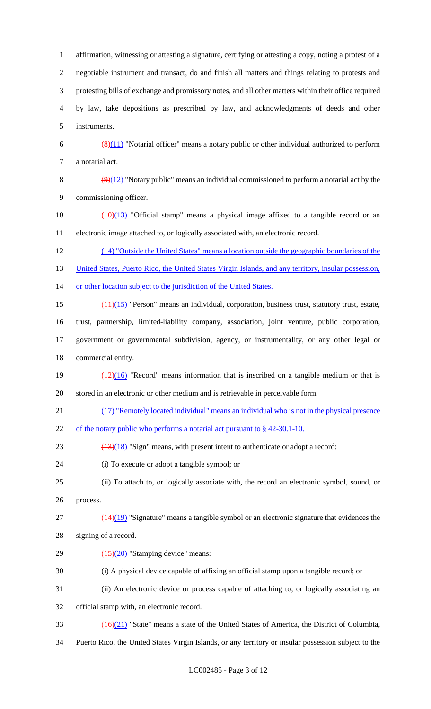affirmation, witnessing or attesting a signature, certifying or attesting a copy, noting a protest of a negotiable instrument and transact, do and finish all matters and things relating to protests and protesting bills of exchange and promissory notes, and all other matters within their office required by law, take depositions as prescribed by law, and acknowledgments of deeds and other instruments.  $\left(\frac{8(11)}{8}\right)$  "Notarial officer" means a notary public or other individual authorized to perform a notarial act.  $(9)(12)$  "Notary public" means an individual commissioned to perform a notarial act by the commissioning officer.  $\left(\frac{(10)(13)}{(10)(13)}\right)$  "Official stamp" means a physical image affixed to a tangible record or an electronic image attached to, or logically associated with, an electronic record. (14) "Outside the United States" means a location outside the geographic boundaries of the

13 United States, Puerto Rico, the United States Virgin Islands, and any territory, insular possession,

or other location subject to the jurisdiction of the United States.

(11)(15) "Person" means an individual, corporation, business trust, statutory trust, estate,

trust, partnership, limited-liability company, association, joint venture, public corporation,

 government or governmental subdivision, agency, or instrumentality, or any other legal or commercial entity.

19  $\left(\frac{(12)(16)}{2}\right)$  "Record" means information that is inscribed on a tangible medium or that is stored in an electronic or other medium and is retrievable in perceivable form.

(17) "Remotely located individual" means an individual who is not in the physical presence

22 of the notary public who performs a notarial act pursuant to § 42-30.1-10.

23  $(13)(18)$  "Sign" means, with present intent to authenticate or adopt a record:

(i) To execute or adopt a tangible symbol; or

 (ii) To attach to, or logically associate with, the record an electronic symbol, sound, or process.

 $(14)(19)$  "Signature" means a tangible symbol or an electronic signature that evidences the

signing of a record.

29  $\left(\frac{(15)(20)}{25}\right)$  "Stamping device" means:

(i) A physical device capable of affixing an official stamp upon a tangible record; or

(ii) An electronic device or process capable of attaching to, or logically associating an

official stamp with, an electronic record.

(16)(21) "State" means a state of the United States of America, the District of Columbia,

Puerto Rico, the United States Virgin Islands, or any territory or insular possession subject to the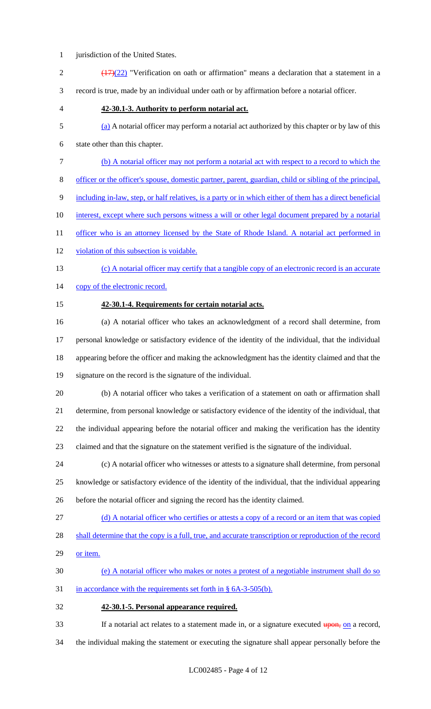- 1 jurisdiction of the United States.
- 2  $\frac{(17)(22)}{2}$  "Verification on oath or affirmation" means a declaration that a statement in a record is true, made by an individual under oath or by affirmation before a notarial officer.
- 

#### **42-30.1-3. Authority to perform notarial act.**

(a) A notarial officer may perform a notarial act authorized by this chapter or by law of this

state other than this chapter.

- (b) A notarial officer may not perform a notarial act with respect to a record to which the
- officer or the officer's spouse, domestic partner, parent, guardian, child or sibling of the principal,

including in-law, step, or half relatives, is a party or in which either of them has a direct beneficial

- 10 interest, except where such persons witness a will or other legal document prepared by a notarial
- 11 officer who is an attorney licensed by the State of Rhode Island. A notarial act performed in
- 12 violation of this subsection is voidable.
- (c) A notarial officer may certify that a tangible copy of an electronic record is an accurate
- 14 copy of the electronic record.
- 

#### **42-30.1-4. Requirements for certain notarial acts.**

 (a) A notarial officer who takes an acknowledgment of a record shall determine, from personal knowledge or satisfactory evidence of the identity of the individual, that the individual appearing before the officer and making the acknowledgment has the identity claimed and that the signature on the record is the signature of the individual.

- (b) A notarial officer who takes a verification of a statement on oath or affirmation shall determine, from personal knowledge or satisfactory evidence of the identity of the individual, that the individual appearing before the notarial officer and making the verification has the identity
- claimed and that the signature on the statement verified is the signature of the individual.
- (c) A notarial officer who witnesses or attests to a signature shall determine, from personal knowledge or satisfactory evidence of the identity of the individual, that the individual appearing before the notarial officer and signing the record has the identity claimed.
- 
- (d) A notarial officer who certifies or attests a copy of a record or an item that was copied
- 28 shall determine that the copy is a full, true, and accurate transcription or reproduction of the record
- 29 or item.
- (e) A notarial officer who makes or notes a protest of a negotiable instrument shall do so
- 31 in accordance with the requirements set forth in § 6A-3-505(b).
- **42-30.1-5. Personal appearance required.**
- 33 If a notarial act relates to a statement made in, or a signature executed upon, on a record,
- the individual making the statement or executing the signature shall appear personally before the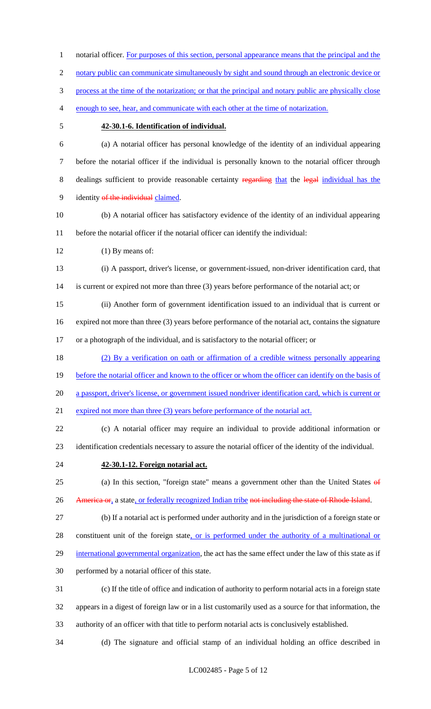1 notarial officer. For purposes of this section, personal appearance means that the principal and the 2 notary public can communicate simultaneously by sight and sound through an electronic device or process at the time of the notarization; or that the principal and notary public are physically close enough to see, hear, and communicate with each other at the time of notarization. **42-30.1-6. Identification of individual.** (a) A notarial officer has personal knowledge of the identity of an individual appearing before the notarial officer if the individual is personally known to the notarial officer through 8 dealings sufficient to provide reasonable certainty regarding that the legal individual has the 9 identity of the individual claimed. (b) A notarial officer has satisfactory evidence of the identity of an individual appearing before the notarial officer if the notarial officer can identify the individual: 12 (1) By means of: (i) A passport, driver's license, or government-issued, non-driver identification card, that is current or expired not more than three (3) years before performance of the notarial act; or (ii) Another form of government identification issued to an individual that is current or expired not more than three (3) years before performance of the notarial act, contains the signature or a photograph of the individual, and is satisfactory to the notarial officer; or (2) By a verification on oath or affirmation of a credible witness personally appearing 19 before the notarial officer and known to the officer or whom the officer can identify on the basis of a passport, driver's license, or government issued nondriver identification card, which is current or 21 expired not more than three (3) years before performance of the notarial act. (c) A notarial officer may require an individual to provide additional information or identification credentials necessary to assure the notarial officer of the identity of the individual. **42-30.1-12. Foreign notarial act.** 25 (a) In this section, "foreign state" means a government other than the United States of 26 America or, a state, or federally recognized Indian tribe not including the state of Rhode Island. (b) If a notarial act is performed under authority and in the jurisdiction of a foreign state or 28 constituent unit of the foreign state, or is performed under the authority of a multinational or 29 international governmental organization, the act has the same effect under the law of this state as if performed by a notarial officer of this state. (c) If the title of office and indication of authority to perform notarial acts in a foreign state appears in a digest of foreign law or in a list customarily used as a source for that information, the authority of an officer with that title to perform notarial acts is conclusively established.

(d) The signature and official stamp of an individual holding an office described in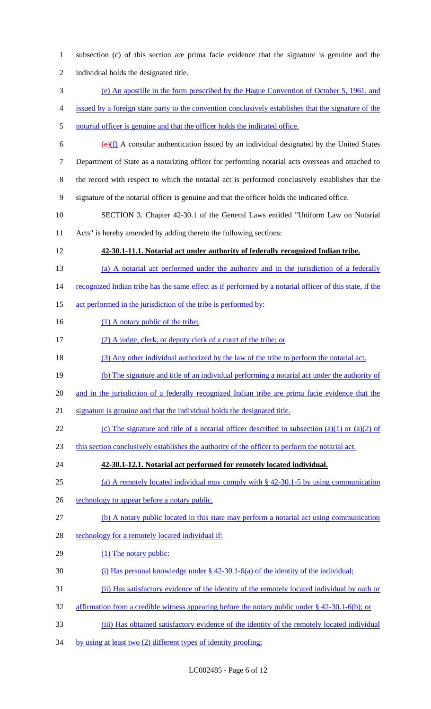| $\mathbf{1}$   | subsection (c) of this section are prima facie evidence that the signature is genuine and the           |
|----------------|---------------------------------------------------------------------------------------------------------|
| $\overline{2}$ | individual holds the designated title.                                                                  |
| 3              | (e) An apostille in the form prescribed by the Hague Convention of October 5, 1961, and                 |
| 4              | issued by a foreign state party to the convention conclusively establishes that the signature of the    |
| 5              | notarial officer is genuine and that the officer holds the indicated office.                            |
| 6              | $\overline{(e)(f)}$ A consular authentication issued by an individual designated by the United States   |
| $\overline{7}$ | Department of State as a notarizing officer for performing notarial acts overseas and attached to       |
| 8              | the record with respect to which the notarial act is performed conclusively establishes that the        |
| 9              | signature of the notarial officer is genuine and that the officer holds the indicated office.           |
| 10             | SECTION 3. Chapter 42-30.1 of the General Laws entitled "Uniform Law on Notarial                        |
| 11             | Acts" is hereby amended by adding thereto the following sections:                                       |
| 12             | 42-30.1-11.1. Notarial act under authority of federally recognized Indian tribe.                        |
| 13             | (a) A notarial act performed under the authority and in the jurisdiction of a federally                 |
| 14             | recognized Indian tribe has the same effect as if performed by a notarial officer of this state, if the |
| 15             | act performed in the jurisdiction of the tribe is performed by:                                         |
| 16             | (1) A notary public of the tribe;                                                                       |
| 17             | (2) A judge, clerk, or deputy clerk of a court of the tribe; or                                         |
| 18             | (3) Any other individual authorized by the law of the tribe to perform the notarial act.                |
| 19             | (b) The signature and title of an individual performing a notarial act under the authority of           |
| 20             | and in the jurisdiction of a federally recognized Indian tribe are prima facie evidence that the        |
| 21             | signature is genuine and that the individual holds the designated title.                                |
| 22             | (c) The signature and title of a notarial officer described in subsection (a)(1) or (a)(2) of           |
| 23             | this section conclusively establishes the authority of the officer to perform the notarial act.         |
| 24             | 42-30.1-12.1. Notarial act performed for remotely located individual.                                   |
| 25             | (a) A remotely located individual may comply with $\S$ 42-30.1-5 by using communication                 |
| 26             | technology to appear before a notary public.                                                            |
| 27             | (b) A notary public located in this state may perform a notarial act using communication                |
| 28             | technology for a remotely located individual if:                                                        |
| 29             | (1) The notary public:                                                                                  |
| 30             | (i) Has personal knowledge under $\S$ 42-30.1-6(a) of the identity of the individual;                   |
| 31             | (ii) Has satisfactory evidence of the identity of the remotely located individual by oath or            |
|                | affirmation from a credible witness appearing before the notary public under § 42-30.1-6(b); or         |
| 32             |                                                                                                         |
| 33             | (iii) Has obtained satisfactory evidence of the identity of the remotely located individual             |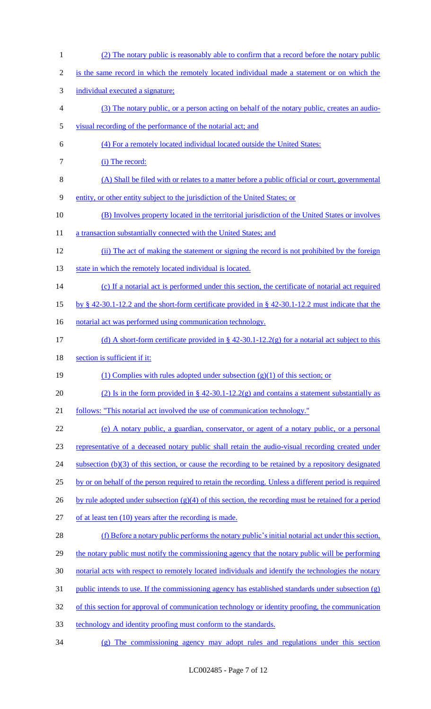(2) The notary public is reasonably able to confirm that a record before the notary public is the same record in which the remotely located individual made a statement or on which the individual executed a signature; (3) The notary public, or a person acting on behalf of the notary public, creates an audio- visual recording of the performance of the notarial act; and (4) For a remotely located individual located outside the United States: 7 (i) The record: (A) Shall be filed with or relates to a matter before a public official or court, governmental entity, or other entity subject to the jurisdiction of the United States; or (B) Involves property located in the territorial jurisdiction of the United States or involves 11 a transaction substantially connected with the United States; and (ii) The act of making the statement or signing the record is not prohibited by the foreign 13 state in which the remotely located individual is located. (c) If a notarial act is performed under this section, the certificate of notarial act required by § 42-30.1-12.2 and the short-form certificate provided in § 42-30.1-12.2 must indicate that the 16 notarial act was performed using communication technology. (d) A short-form certificate provided in § 42-30.1-12.2(g) for a notarial act subject to this 18 section is sufficient if it: 19 (1) Complies with rules adopted under subsection  $(g)(1)$  of this section; or 20 (2) Is in the form provided in  $\S$  42-30.1-12.2(g) and contains a statement substantially as follows: "This notarial act involved the use of communication technology." (e) A notary public, a guardian, conservator, or agent of a notary public, or a personal representative of a deceased notary public shall retain the audio-visual recording created under 24 subsection (b)(3) of this section, or cause the recording to be retained by a repository designated by or on behalf of the person required to retain the recording. Unless a different period is required 26 by rule adopted under subsection  $(g)(4)$  of this section, the recording must be retained for a period of at least ten (10) years after the recording is made. (f) Before a notary public performs the notary public's initial notarial act under this section, 29 the notary public must notify the commissioning agency that the notary public will be performing notarial acts with respect to remotely located individuals and identify the technologies the notary 31 public intends to use. If the commissioning agency has established standards under subsection  $(g)$ 32 of this section for approval of communication technology or identity proofing, the communication technology and identity proofing must conform to the standards. (g) The commissioning agency may adopt rules and regulations under this section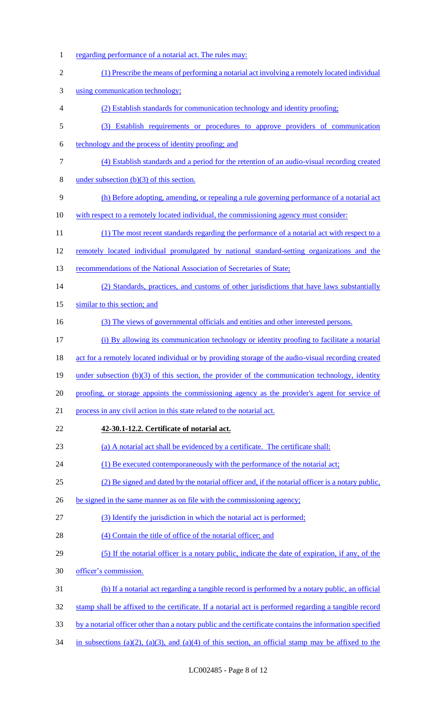regarding performance of a notarial act. The rules may: (1) Prescribe the means of performing a notarial act involving a remotely located individual using communication technology; (2) Establish standards for communication technology and identity proofing; (3) Establish requirements or procedures to approve providers of communication technology and the process of identity proofing; and (4) Establish standards and a period for the retention of an audio-visual recording created 8 under subsection  $(b)(3)$  of this section. (h) Before adopting, amending, or repealing a rule governing performance of a notarial act 10 with respect to a remotely located individual, the commissioning agency must consider: 11 (1) The most recent standards regarding the performance of a notarial act with respect to a remotely located individual promulgated by national standard-setting organizations and the 13 recommendations of the National Association of Secretaries of State; (2) Standards, practices, and customs of other jurisdictions that have laws substantially 15 similar to this section; and (3) The views of governmental officials and entities and other interested persons. (i) By allowing its communication technology or identity proofing to facilitate a notarial act for a remotely located individual or by providing storage of the audio-visual recording created 19 under subsection (b)(3) of this section, the provider of the communication technology, identity 20 proofing, or storage appoints the commissioning agency as the provider's agent for service of process in any civil action in this state related to the notarial act. **42-30.1-12.2. Certificate of notarial act.** (a) A notarial act shall be evidenced by a certificate. The certificate shall: (1) Be executed contemporaneously with the performance of the notarial act; (2) Be signed and dated by the notarial officer and, if the notarial officer is a notary public, 26 be signed in the same manner as on file with the commissioning agency; 27 (3) Identify the jurisdiction in which the notarial act is performed; 28 (4) Contain the title of office of the notarial officer; and (5) If the notarial officer is a notary public, indicate the date of expiration, if any, of the officer's commission. (b) If a notarial act regarding a tangible record is performed by a notary public, an official stamp shall be affixed to the certificate. If a notarial act is performed regarding a tangible record 33 by a notarial officer other than a notary public and the certificate contains the information specified in subsections (a)(2), (a)(3), and (a)(4) of this section, an official stamp may be affixed to the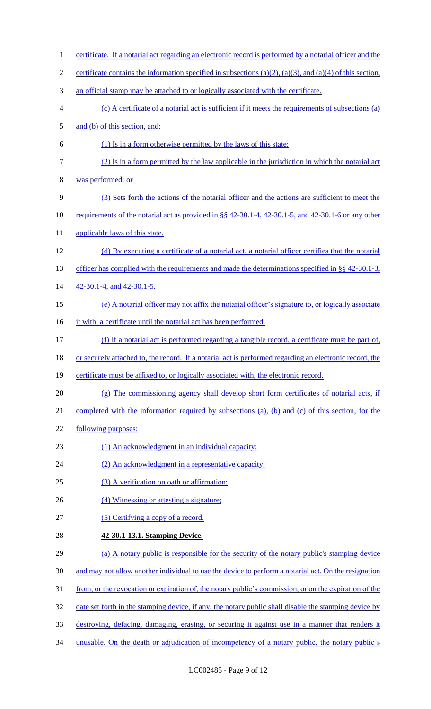1 certificate. If a notarial act regarding an electronic record is performed by a notarial officer and the 2 certificate contains the information specified in subsections  $(a)(2)$ ,  $(a)(3)$ , and  $(a)(4)$  of this section, 3 an official stamp may be attached to or logically associated with the certificate. 4 (c) A certificate of a notarial act is sufficient if it meets the requirements of subsections (a) 5 and (b) of this section, and: 6 (1) Is in a form otherwise permitted by the laws of this state; 7 (2) Is in a form permitted by the law applicable in the jurisdiction in which the notarial act 8 was performed; or 9 (3) Sets forth the actions of the notarial officer and the actions are sufficient to meet the 10 requirements of the notarial act as provided in §§ 42-30.1-4, 42-30.1-5, and 42-30.1-6 or any other 11 applicable laws of this state. 12 (d) By executing a certificate of a notarial act, a notarial officer certifies that the notarial 13 officer has complied with the requirements and made the determinations specified in §§ 42-30.1-3, 14 42-30.1-4, and 42-30.1-5. 15 (e) A notarial officer may not affix the notarial officer's signature to, or logically associate 16 it with, a certificate until the notarial act has been performed. 17 (f) If a notarial act is performed regarding a tangible record, a certificate must be part of, 18 or securely attached to, the record. If a notarial act is performed regarding an electronic record, the 19 certificate must be affixed to, or logically associated with, the electronic record. 20 (g) The commissioning agency shall develop short form certificates of notarial acts, if 21 completed with the information required by subsections (a), (b) and (c) of this section, for the 22 following purposes: 23 (1) An acknowledgment in an individual capacity; 24 (2) An acknowledgment in a representative capacity; 25 (3) A verification on oath or affirmation; 26 (4) Witnessing or attesting a signature; 27 (5) Certifying a copy of a record. 28 **42-30.1-13.1. Stamping Device.** 29 (a) A notary public is responsible for the security of the notary public's stamping device 30 and may not allow another individual to use the device to perform a notarial act. On the resignation 31 from, or the revocation or expiration of, the notary public's commission, or on the expiration of the 32 date set forth in the stamping device, if any, the notary public shall disable the stamping device by 33 destroying, defacing, damaging, erasing, or securing it against use in a manner that renders it 34 unusable. On the death or adjudication of incompetency of a notary public, the notary public's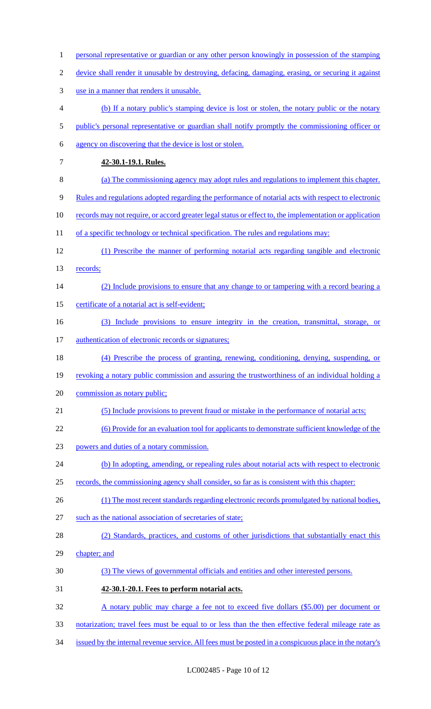| $\mathbf{1}$   | personal representative or guardian or any other person knowingly in possession of the stamping         |
|----------------|---------------------------------------------------------------------------------------------------------|
| $\overline{2}$ | device shall render it unusable by destroying, defacing, damaging, erasing, or securing it against      |
| 3              | use in a manner that renders it unusable.                                                               |
| 4              | (b) If a notary public's stamping device is lost or stolen, the notary public or the notary             |
| 5              | public's personal representative or guardian shall notify promptly the commissioning officer or         |
| 6              | agency on discovering that the device is lost or stolen.                                                |
| 7              | 42-30.1-19.1. Rules.                                                                                    |
| 8              | (a) The commissioning agency may adopt rules and regulations to implement this chapter.                 |
| 9              | Rules and regulations adopted regarding the performance of notarial acts with respect to electronic     |
| 10             | records may not require, or accord greater legal status or effect to, the implementation or application |
| 11             | of a specific technology or technical specification. The rules and regulations may:                     |
| 12             | (1) Prescribe the manner of performing notarial acts regarding tangible and electronic                  |
| 13             | records;                                                                                                |
| 14             | (2) Include provisions to ensure that any change to or tampering with a record bearing a                |
| 15             | certificate of a notarial act is self-evident;                                                          |
| 16             | (3) Include provisions to ensure integrity in the creation, transmittal, storage, or                    |
| 17             | authentication of electronic records or signatures;                                                     |
| 18             | (4) Prescribe the process of granting, renewing, conditioning, denying, suspending, or                  |
| 19             | revoking a notary public commission and assuring the trustworthiness of an individual holding a         |
| 20             | commission as notary public;                                                                            |
| 21             | (5) Include provisions to prevent fraud or mistake in the performance of notarial acts;                 |
| 22             | <u>(6) Provide for an evaluation tool for applicants to demonstrate sufficient knowledge of the</u>     |
| 23             | powers and duties of a notary commission.                                                               |
| 24             | (b) In adopting, amending, or repealing rules about notarial acts with respect to electronic            |
| 25             | records, the commissioning agency shall consider, so far as is consistent with this chapter:            |
| 26             | (1) The most recent standards regarding electronic records promulgated by national bodies,              |
| 27             | such as the national association of secretaries of state;                                               |
| 28             | (2) Standards, practices, and customs of other jurisdictions that substantially enact this              |
| 29             | chapter; and                                                                                            |
| 30             | (3) The views of governmental officials and entities and other interested persons.                      |
| 31             | 42-30.1-20.1. Fees to perform notarial acts.                                                            |
| 32             | A notary public may charge a fee not to exceed five dollars (\$5.00) per document or                    |
| 33             | notarization; travel fees must be equal to or less than the then effective federal mileage rate as      |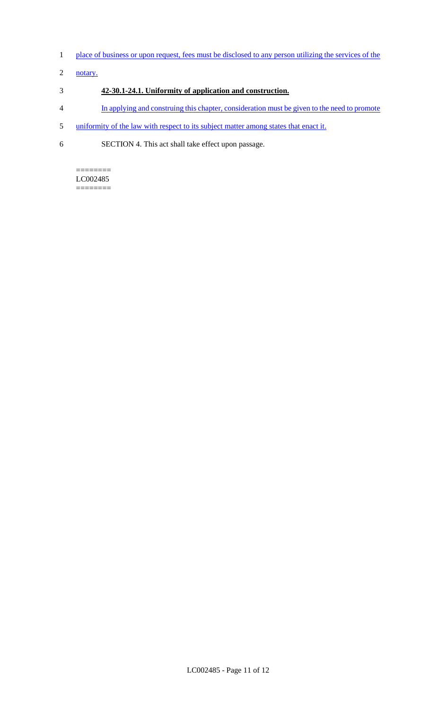- 1 place of business or upon request, fees must be disclosed to any person utilizing the services of the
- 2 notary.

# 3 **42-30.1-24.1. Uniformity of application and construction.**

- 4 In applying and construing this chapter, consideration must be given to the need to promote
- 5 uniformity of the law with respect to its subject matter among states that enact it.
- 6 SECTION 4. This act shall take effect upon passage.

======== LC002485 ========

LC002485 - Page 11 of 12